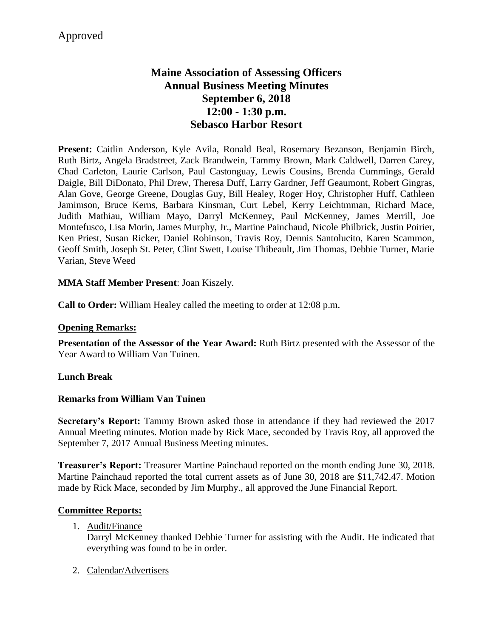# **Maine Association of Assessing Officers Annual Business Meeting Minutes September 6, 2018 12:00 - 1:30 p.m. Sebasco Harbor Resort**

**Present:** Caitlin Anderson, Kyle Avila, Ronald Beal, Rosemary Bezanson, Benjamin Birch, Ruth Birtz, Angela Bradstreet, Zack Brandwein, Tammy Brown, Mark Caldwell, Darren Carey, Chad Carleton, Laurie Carlson, Paul Castonguay, Lewis Cousins, Brenda Cummings, Gerald Daigle, Bill DiDonato, Phil Drew, Theresa Duff, Larry Gardner, Jeff Geaumont, Robert Gingras, Alan Gove, George Greene, Douglas Guy, Bill Healey, Roger Hoy, Christopher Huff, Cathleen Jamimson, Bruce Kerns, Barbara Kinsman, Curt Lebel, Kerry Leichtmman, Richard Mace, Judith Mathiau, William Mayo, Darryl McKenney, Paul McKenney, James Merrill, Joe Montefusco, Lisa Morin, James Murphy, Jr., Martine Painchaud, Nicole Philbrick, Justin Poirier, Ken Priest, Susan Ricker, Daniel Robinson, Travis Roy, Dennis Santolucito, Karen Scammon, Geoff Smith, Joseph St. Peter, Clint Swett, Louise Thibeault, Jim Thomas, Debbie Turner, Marie Varian, Steve Weed

## **MMA Staff Member Present**: Joan Kiszely.

**Call to Order:** William Healey called the meeting to order at 12:08 p.m.

#### **Opening Remarks:**

**Presentation of the Assessor of the Year Award:** Ruth Birtz presented with the Assessor of the Year Award to William Van Tuinen.

#### **Lunch Break**

#### **Remarks from William Van Tuinen**

**Secretary's Report:** Tammy Brown asked those in attendance if they had reviewed the 2017 Annual Meeting minutes. Motion made by Rick Mace, seconded by Travis Roy, all approved the September 7, 2017 Annual Business Meeting minutes.

**Treasurer's Report:** Treasurer Martine Painchaud reported on the month ending June 30, 2018. Martine Painchaud reported the total current assets as of June 30, 2018 are \$11,742.47. Motion made by Rick Mace, seconded by Jim Murphy., all approved the June Financial Report.

#### **Committee Reports:**

1. Audit/Finance

Darryl McKenney thanked Debbie Turner for assisting with the Audit. He indicated that everything was found to be in order.

2. Calendar/Advertisers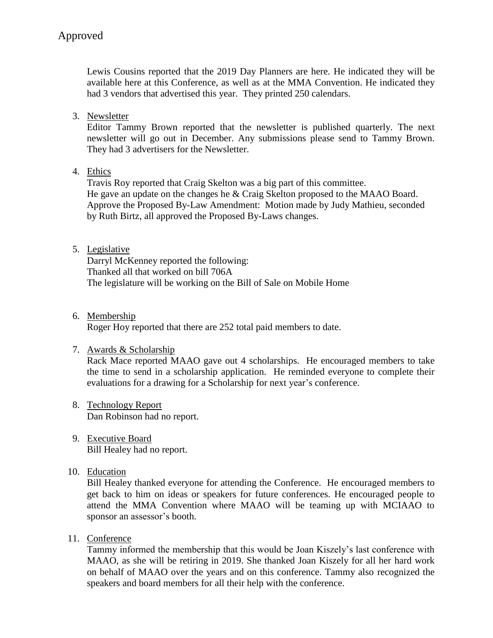Lewis Cousins reported that the 2019 Day Planners are here. He indicated they will be available here at this Conference, as well as at the MMA Convention. He indicated they had 3 vendors that advertised this year. They printed 250 calendars.

3. Newsletter

Editor Tammy Brown reported that the newsletter is published quarterly. The next newsletter will go out in December. Any submissions please send to Tammy Brown. They had 3 advertisers for the Newsletter.

## 4. Ethics

Travis Roy reported that Craig Skelton was a big part of this committee. He gave an update on the changes he & Craig Skelton proposed to the MAAO Board. Approve the Proposed By-Law Amendment: Motion made by Judy Mathieu, seconded by Ruth Birtz, all approved the Proposed By-Laws changes.

## 5. Legislative

Darryl McKenney reported the following: Thanked all that worked on bill 706A The legislature will be working on the Bill of Sale on Mobile Home

6. Membership

Roger Hoy reported that there are 252 total paid members to date.

## 7. Awards & Scholarship

Rack Mace reported MAAO gave out 4 scholarships. He encouraged members to take the time to send in a scholarship application. He reminded everyone to complete their evaluations for a drawing for a Scholarship for next year's conference.

- 8. Technology Report Dan Robinson had no report.
- 9. Executive Board Bill Healey had no report.

## 10. Education

Bill Healey thanked everyone for attending the Conference. He encouraged members to get back to him on ideas or speakers for future conferences. He encouraged people to attend the MMA Convention where MAAO will be teaming up with MCIAAO to sponsor an assessor's booth.

11. Conference

Tammy informed the membership that this would be Joan Kiszely's last conference with MAAO, as she will be retiring in 2019. She thanked Joan Kiszely for all her hard work on behalf of MAAO over the years and on this conference. Tammy also recognized the speakers and board members for all their help with the conference.